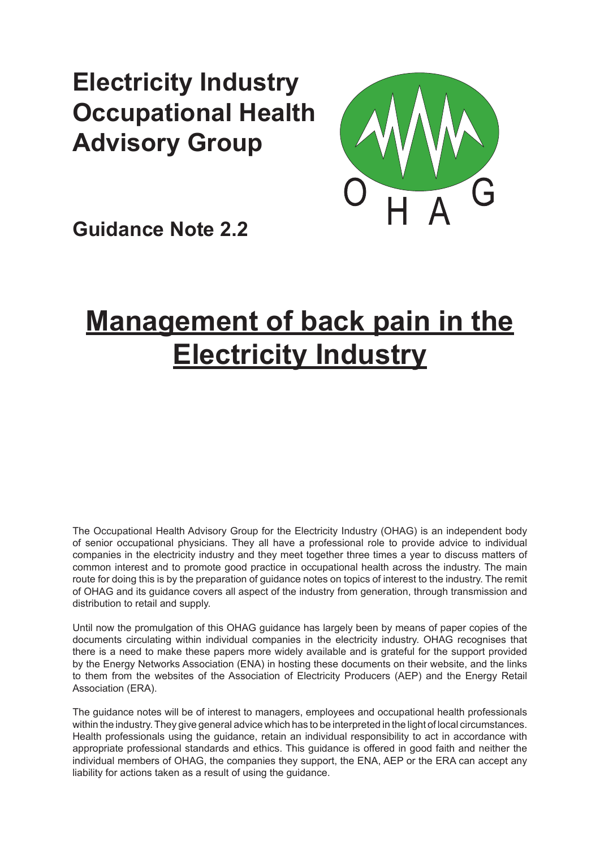# **Electricity Industry Occupational Health Advisory Group**



**Guidance Note 2.2**

# **Management of back pain in the Electricity Industry**

The Occupational Health Advisory Group for the Electricity Industry (OHAG) is an independent body of senior occupational physicians. They all have a professional role to provide advice to individual companies in the electricity industry and they meet together three times a year to discuss matters of common interest and to promote good practice in occupational health across the industry. The main route for doing this is by the preparation of guidance notes on topics of interest to the industry. The remit of OHAG and its guidance covers all aspect of the industry from generation, through transmission and distribution to retail and supply.

Until now the promulgation of this OHAG guidance has largely been by means of paper copies of the documents circulating within individual companies in the electricity industry. OHAG recognises that there is a need to make these papers more widely available and is grateful for the support provided by the Energy Networks Association (ENA) in hosting these documents on their website, and the links to them from the websites of the Association of Electricity Producers (AEP) and the Energy Retail Association (ERA).

The guidance notes will be of interest to managers, employees and occupational health professionals within the industry. They give general advice which has to be interpreted in the light of local circumstances. Health professionals using the guidance, retain an individual responsibility to act in accordance with appropriate professional standards and ethics. This guidance is offered in good faith and neither the individual members of OHAG, the companies they support, the ENA, AEP or the ERA can accept any liability for actions taken as a result of using the guidance.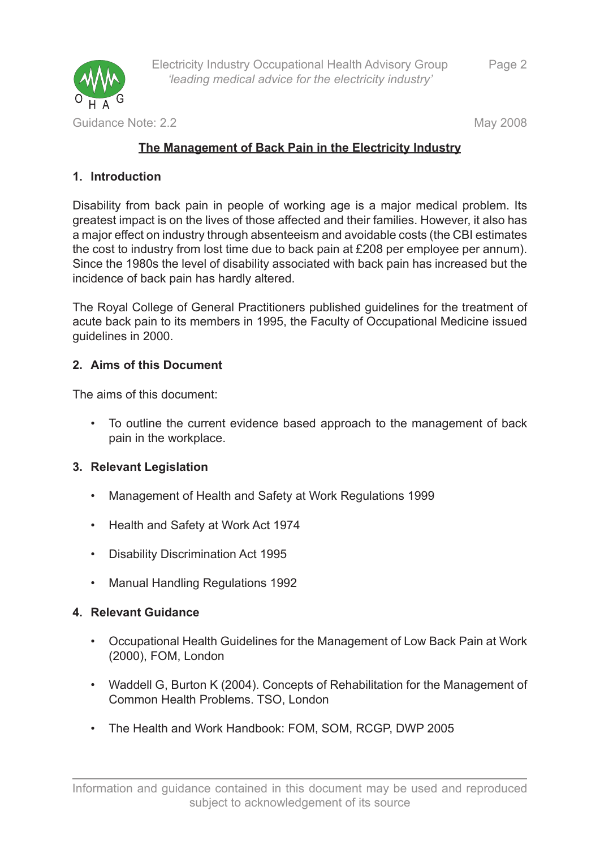

# **The Management of Back Pain in the Electricity Industry**

# **Introduction 1.**

Disability from back pain in people of working age is a major medical problem. Its greatest impact is on the lives of those affected and their families. However, it also has a major effect on industry through absenteeism and avoidable costs (the CBI estimates the cost to industry from lost time due to back pain at £208 per employee per annum). Since the 1980s the level of disability associated with back pain has increased but the incidence of back pain has hardly altered.

The Royal College of General Practitioners published guidelines for the treatment of acute back pain to its members in 1995, the Faculty of Occupational Medicine issued guidelines in 2000.

# **Aims of this Document 2.**

The aims of this document:

To outline the current evidence based approach to the management of back • pain in the workplace.

# **Relevant Legislation 3.**

- Management of Health and Safety at Work Regulations 1999 •
- Health and Safety at Work Act 1974
- Disability Discrimination Act 1995 •
- Manual Handling Regulations 1992 •

# **Relevant Guidance 4.**

- Occupational Health Guidelines for the Management of Low Back Pain at Work (2000), FOM, London
- Waddell G, Burton K (2004). Concepts of Rehabilitation for the Management of Common Health Problems. TSO, London
- The Health and Work Handbook: FOM, SOM, RCGP, DWP 2005 •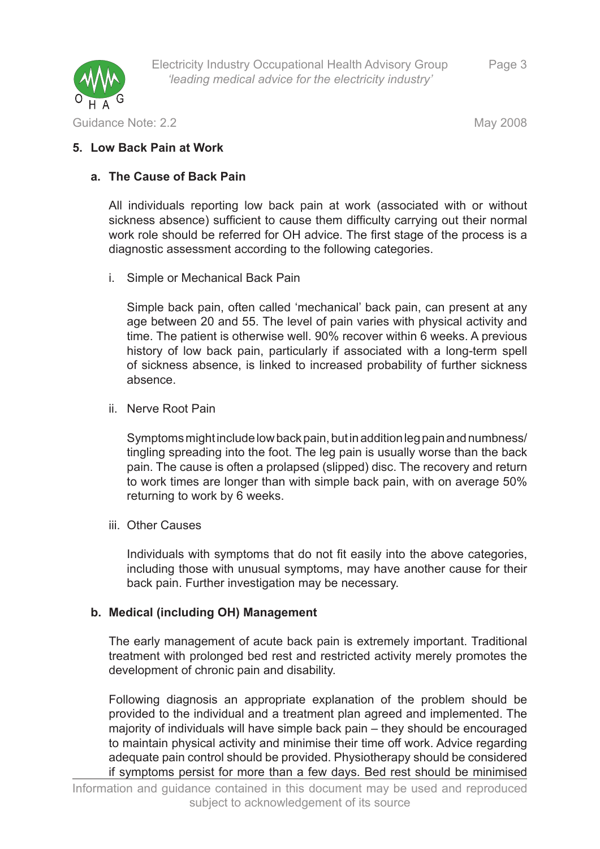

Guidance Note: 2.2 May 2008

#### **Low Back Pain at Work 5.**

#### **The Cause of Back Pain a.**

All individuals reporting low back pain at work (associated with or without sickness absence) sufficient to cause them difficulty carrying out their normal work role should be referred for OH advice. The first stage of the process is a diagnostic assessment according to the following categories.

Simple or Mechanical Back Pain i.

Simple back pain, often called 'mechanical' back pain, can present at any age between 20 and 55. The level of pain varies with physical activity and time. The patient is otherwise well. 90% recover within 6 weeks. A previous history of low back pain, particularly if associated with a long-term spell of sickness absence, is linked to increased probability of further sickness absence.

ii. Nerve Root Pain

Symptoms might include low back pain, but in addition leg pain and numbness/ tingling spreading into the foot. The leg pain is usually worse than the back pain. The cause is often a prolapsed (slipped) disc. The recovery and return to work times are longer than with simple back pain, with on average 50% returning to work by 6 weeks.

iii. Other Causes

Individuals with symptoms that do not fit easily into the above categories, including those with unusual symptoms, may have another cause for their back pain. Further investigation may be necessary.

#### **Medical (including OH) Management b.**

The early management of acute back pain is extremely important. Traditional treatment with prolonged bed rest and restricted activity merely promotes the development of chronic pain and disability.

Following diagnosis an appropriate explanation of the problem should be provided to the individual and a treatment plan agreed and implemented. The majority of individuals will have simple back pain – they should be encouraged to maintain physical activity and minimise their time off work. Advice regarding adequate pain control should be provided. Physiotherapy should be considered if symptoms persist for more than a few days. Bed rest should be minimised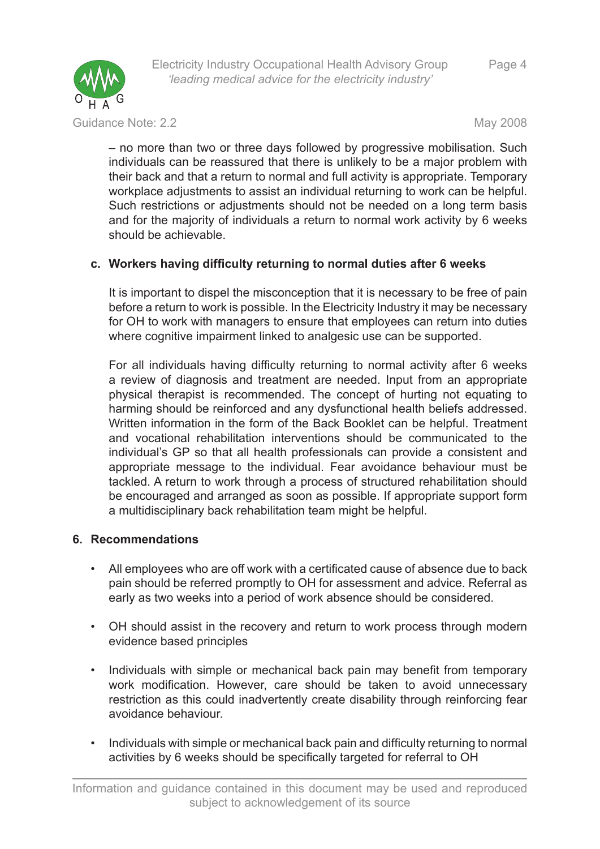

Electricity Industry Occupational Health Advisory Group *'leading medical advice for the electricity industry'*

Guidance Note: 2.2 May 2008

– no more than two or three days followed by progressive mobilisation. Such individuals can be reassured that there is unlikely to be a major problem with their back and that a return to normal and full activity is appropriate. Temporary workplace adjustments to assist an individual returning to work can be helpful. Such restrictions or adjustments should not be needed on a long term basis and for the majority of individuals a return to normal work activity by 6 weeks should be achievable.

# **Workers having difficulty returning to normal duties after 6 weeks c.**

It is important to dispel the misconception that it is necessary to be free of pain before a return to work is possible. In the Electricity Industry it may be necessary for OH to work with managers to ensure that employees can return into duties where cognitive impairment linked to analgesic use can be supported.

For all individuals having difficulty returning to normal activity after 6 weeks a review of diagnosis and treatment are needed. Input from an appropriate physical therapist is recommended. The concept of hurting not equating to harming should be reinforced and any dysfunctional health beliefs addressed. Written information in the form of the Back Booklet can be helpful. Treatment and vocational rehabilitation interventions should be communicated to the individual's GP so that all health professionals can provide a consistent and appropriate message to the individual. Fear avoidance behaviour must be tackled. A return to work through a process of structured rehabilitation should be encouraged and arranged as soon as possible. If appropriate support form a multidisciplinary back rehabilitation team might be helpful.

# **Recommendations 6.**

- All employees who are off work with a certificated cause of absence due to back pain should be referred promptly to OH for assessment and advice. Referral as early as two weeks into a period of work absence should be considered. •
- OH should assist in the recovery and return to work process through modern evidence based principles
- Individuals with simple or mechanical back pain may benefit from temporary work modification. However, care should be taken to avoid unnecessary restriction as this could inadvertently create disability through reinforcing fear avoidance behaviour. •
- Individuals with simple or mechanical back pain and difficulty returning to normal activities by 6 weeks should be specifically targeted for referral to OH •